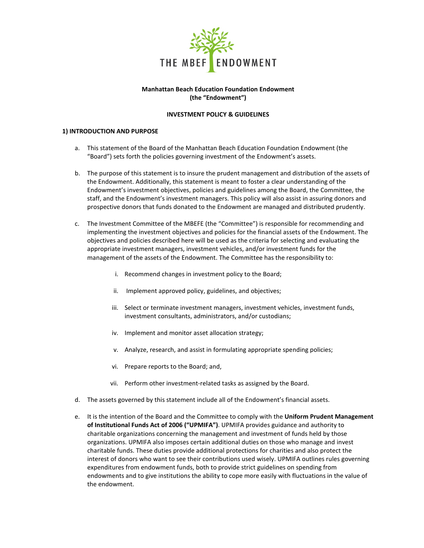

### **Manhattan Beach Education Foundation Endowment (the "Endowment")**

# **INVESTMENT POLICY & GUIDELINES**

### **1) INTRODUCTION AND PURPOSE**

- a. This statement of the Board of the Manhattan Beach Education Foundation Endowment (the "Board") sets forth the policies governing investment of the Endowment's assets.
- b. The purpose of this statement is to insure the prudent management and distribution of the assets of the Endowment. Additionally, this statement is meant to foster a clear understanding of the Endowment's investment objectives, policies and guidelines among the Board, the Committee, the staff, and the Endowment's investment managers. This policy will also assist in assuring donors and prospective donors that funds donated to the Endowment are managed and distributed prudently.
- c. The Investment Committee of the MBEFE (the "Committee") is responsible for recommending and implementing the investment objectives and policies for the financial assets of the Endowment. The objectives and policies described here will be used as the criteria for selecting and evaluating the appropriate investment managers, investment vehicles, and/or investment funds for the management of the assets of the Endowment. The Committee has the responsibility to:
	- i. Recommend changes in investment policy to the Board;
	- ii. Implement approved policy, guidelines, and objectives;
	- iii. Select or terminate investment managers, investment vehicles, investment funds, investment consultants, administrators, and/or custodians;
	- iv. Implement and monitor asset allocation strategy;
	- v. Analyze, research, and assist in formulating appropriate spending policies;
	- vi. Prepare reports to the Board; and,
	- vii. Perform other investment-related tasks as assigned by the Board.
- d. The assets governed by this statement include all of the Endowment's financial assets.
- e. It is the intention of the Board and the Committee to comply with the **Uniform Prudent Management of Institutional Funds Act of 2006 ("UPMIFA")**. UPMIFA provides guidance and authority to charitable organizations concerning the management and investment of funds held by those organizations. UPMIFA also imposes certain additional duties on those who manage and invest charitable funds. These duties provide additional protections for charities and also protect the interest of donors who want to see their contributions used wisely. UPMIFA outlines rules governing expenditures from endowment funds, both to provide strict guidelines on spending from endowments and to give institutions the ability to cope more easily with fluctuations in the value of the endowment.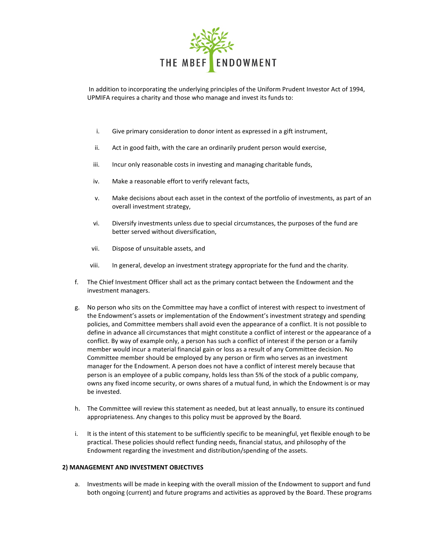

In addition to incorporating the underlying principles of the Uniform Prudent Investor Act of 1994, UPMIFA requires a charity and those who manage and invest its funds to:

- i. Give primary consideration to donor intent as expressed in a gift instrument,
- ii. Act in good faith, with the care an ordinarily prudent person would exercise,
- iii. Incur only reasonable costs in investing and managing charitable funds,
- iv. Make a reasonable effort to verify relevant facts,
- v. Make decisions about each asset in the context of the portfolio of investments, as part of an overall investment strategy,
- vi. Diversify investments unless due to special circumstances, the purposes of the fund are better served without diversification,
- vii. Dispose of unsuitable assets, and
- viii. In general, develop an investment strategy appropriate for the fund and the charity.
- f. The Chief Investment Officer shall act as the primary contact between the Endowment and the investment managers.
- g. No person who sits on the Committee may have a conflict of interest with respect to investment of the Endowment's assets or implementation of the Endowment's investment strategy and spending policies, and Committee members shall avoid even the appearance of a conflict. It is not possible to define in advance all circumstances that might constitute a conflict of interest or the appearance of a conflict. By way of example only, a person has such a conflict of interest if the person or a family member would incur a material financial gain or loss as a result of any Committee decision. No Committee member should be employed by any person or firm who serves as an investment manager for the Endowment. A person does not have a conflict of interest merely because that person is an employee of a public company, holds less than 5% of the stock of a public company, owns any fixed income security, or owns shares of a mutual fund, in which the Endowment is or may be invested.
- h. The Committee will review this statement as needed, but at least annually, to ensure its continued appropriateness. Any changes to this policy must be approved by the Board.
- i. It is the intent of this statement to be sufficiently specific to be meaningful, yet flexible enough to be practical. These policies should reflect funding needs, financial status, and philosophy of the Endowment regarding the investment and distribution/spending of the assets.

#### **2) MANAGEMENT AND INVESTMENT OBJECTIVES**

a. Investments will be made in keeping with the overall mission of the Endowment to support and fund both ongoing (current) and future programs and activities as approved by the Board. These programs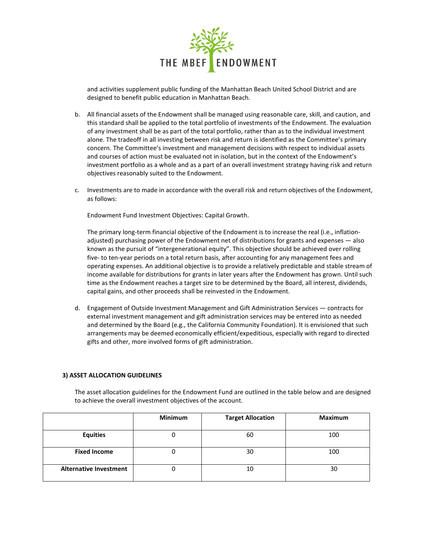

and activities supplement public funding of the Manhattan Beach United School District and are designed to benefit public education in Manhattan Beach.

- b. All financial assets of the Endowment shall be managed using reasonable care, skill, and caution, and this standard shall be applied to the total portfolio of investments of the Endowment. The evaluation of any investment shall be as part of the total portfolio, rather than as to the individual investment alone. The tradeoff in all investing between risk and return is identified as the Committee's primary concern. The Committee's investment and management decisions with respect to individual assets and courses of action must be evaluated not in isolation, but in the context of the Endowment's investment portfolio as a whole and as a part of an overall investment strategy having risk and return objectives reasonably suited to the Endowment.
- c. Investments are to made in accordance with the overall risk and return objectives of the Endowment, as follows:

Endowment Fund Investment Objectives: Capital Growth.

The primary long-term financial objective of the Endowment is to increase the real (i.e., inflationadjusted) purchasing power of the Endowment net of distributions for grants and expenses — also known as the pursuit of "intergenerational equity". This objective should be achieved over rolling five- to ten-year periods on a total return basis, after accounting for any management fees and operating expenses. An additional objective is to provide a relatively predictable and stable stream of income available for distributions for grants in later years after the Endowment has grown. Until such time as the Endowment reaches a target size to be determined by the Board, all interest, dividends, capital gains, and other proceeds shall be reinvested in the Endowment.

d. Engagement of Outside Investment Management and Gift Administration Services — contracts for external investment management and gift administration services may be entered into as needed and determined by the Board (e.g., the California Community Foundation). It is envisioned that such arrangements may be deemed economically efficient/expeditious, especially with regard to directed gifts and other, more involved forms of gift administration.

#### **3) ASSET ALLOCATION GUIDELINES**

The asset allocation guidelines for the Endowment Fund are outlined in the table below and are designed to achieve the overall investment objectives of the account.

|                               | <b>Minimum</b> | <b>Target Allocation</b> | <b>Maximum</b> |
|-------------------------------|----------------|--------------------------|----------------|
| <b>Equities</b>               | υ              | 60                       | 100            |
| <b>Fixed Income</b>           | U              | 30                       | 100            |
| <b>Alternative Investment</b> | U              | 10                       | 30             |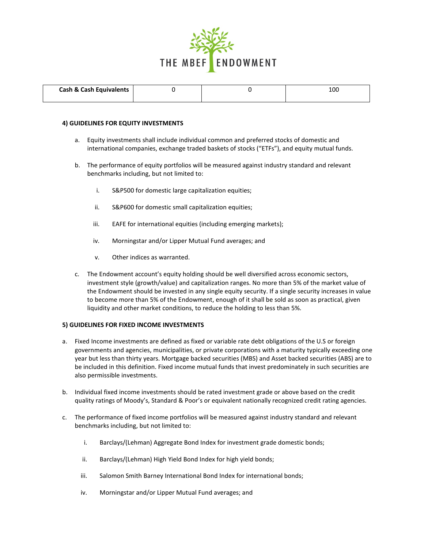

| <b>Cash &amp; Cash Equivalents</b> |  | ⊥UU |
|------------------------------------|--|-----|
|                                    |  |     |

#### **4) GUIDELINES FOR EQUITY INVESTMENTS**

- a. Equity investments shall include individual common and preferred stocks of domestic and international companies, exchange traded baskets of stocks ("ETFs"), and equity mutual funds.
- b. The performance of equity portfolios will be measured against industry standard and relevant benchmarks including, but not limited to:
	- i. S&P500 for domestic large capitalization equities;
	- ii. S&P600 for domestic small capitalization equities;
	- iii. EAFE for international equities (including emerging markets);
	- iv. Morningstar and/or Lipper Mutual Fund averages; and
	- v. Other indices as warranted.
- c. The Endowment account's equity holding should be well diversified across economic sectors, investment style (growth/value) and capitalization ranges. No more than 5% of the market value of the Endowment should be invested in any single equity security. If a single security increases in value to become more than 5% of the Endowment, enough of it shall be sold as soon as practical, given liquidity and other market conditions, to reduce the holding to less than 5%.

#### **5) GUIDELINES FOR FIXED INCOME INVESTMENTS**

- a. Fixed Income investments are defined as fixed or variable rate debt obligations of the U.S or foreign governments and agencies, municipalities, or private corporations with a maturity typically exceeding one year but less than thirty years. Mortgage backed securities (MBS) and Asset backed securities (ABS) are to be included in this definition. Fixed income mutual funds that invest predominately in such securities are also permissible investments.
- b. Individual fixed income investments should be rated investment grade or above based on the credit quality ratings of Moody's, Standard & Poor's or equivalent nationally recognized credit rating agencies.
- c. The performance of fixed income portfolios will be measured against industry standard and relevant benchmarks including, but not limited to:
	- i. Barclays/(Lehman) Aggregate Bond Index for investment grade domestic bonds;
	- ii. Barclays/(Lehman) High Yield Bond Index for high yield bonds;
	- iii. Salomon Smith Barney International Bond Index for international bonds;
	- iv. Morningstar and/or Lipper Mutual Fund averages; and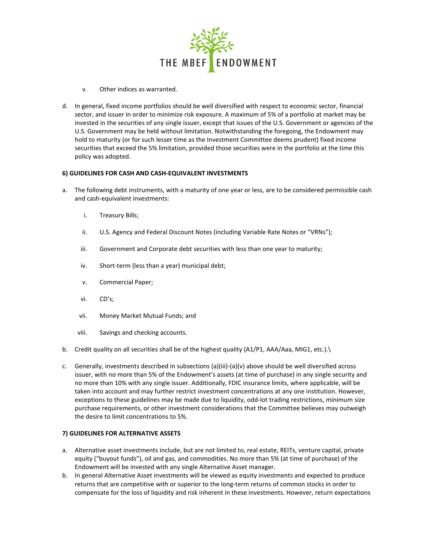

- v. Other indices as warranted.
- d. In general, fixed income portfolios should be well diversified with respect to economic sector, financial sector, and issuer in order to minimize risk exposure. A maximum of 5% of a portfolio at market may be invested in the securities of any single issuer, except that issues of the U.S. Government or agencies of the U.S. Government may be held without limitation. Notwithstanding the foregoing, the Endowment may hold to maturity (or for such lesser time as the Investment Committee deems prudent) fixed income securities that exceed the 5% limitation, provided those securities were in the portfolio at the time this policy was adopted.

### **6) GUIDELINES FOR CASH AND CASH-EQUIVALENT INVESTMENTS**

- a. The following debt instruments, with a maturity of one year or less, are to be considered permissible cash and cash-equivalent investments:
	- i. Treasury Bills;
	- ii. U.S. Agency and Federal Discount Notes (including Variable Rate Notes or "VRNs");
	- iii. Government and Corporate debt securities with less than one year to maturity;
	- iv. Short-term (less than a year) municipal debt;
	- v. Commercial Paper;
	- vi. CD's;
	- vii. Money Market Mutual Funds; and
	- viii. Savings and checking accounts.
- b. Credit quality on all securities shall be of the highest quality (A1/P1, AAA/Aaa, MIG1, etc.).\
- c. Generally, investments described in subsections (a)(iii)-(a)(v) above should be well diversified across issuer, with no more than 5% of the Endowment's assets (at time of purchase) in any single security and no more than 10% with any single issuer. Additionally, FDIC insurance limits, where applicable, will be taken into account and may further restrict investment concentrations at any one institution. However, exceptions to these guidelines may be made due to liquidity, odd-lot trading restrictions, minimum size purchase requirements, or other investment considerations that the Committee believes may outweigh the desire to limit concentrations to 5%.

# **7) GUIDELINES FOR ALTERNATIVE ASSETS**

- a. Alternative asset investments include, but are not limited to, real estate, REITs, venture capital, private equity ("buyout funds"), oil and gas, and commodities. No more than 5% (at time of purchase) of the Endowment will be invested with any single Alternative Asset manager.
- b. In general Alternative Asset investments will be viewed as equity investments and expected to produce returns that are competitive with or superior to the long-term returns of common stocks in order to compensate for the loss of liquidity and risk inherent in these investments. However, return expectations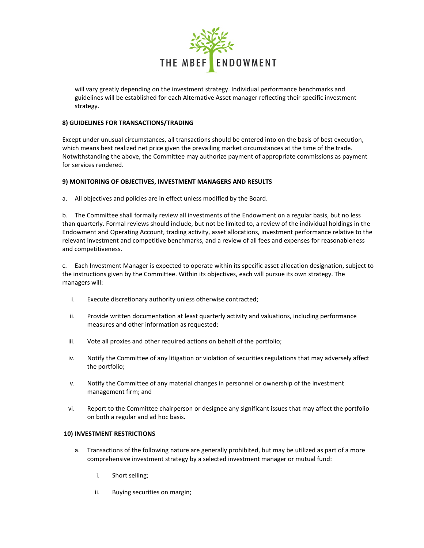

will vary greatly depending on the investment strategy. Individual performance benchmarks and guidelines will be established for each Alternative Asset manager reflecting their specific investment strategy.

# **8) GUIDELINES FOR TRANSACTIONS/TRADING**

Except under unusual circumstances, all transactions should be entered into on the basis of best execution, which means best realized net price given the prevailing market circumstances at the time of the trade. Notwithstanding the above, the Committee may authorize payment of appropriate commissions as payment for services rendered.

# **9) MONITORING OF OBJECTIVES, INVESTMENT MANAGERS AND RESULTS**

a. All objectives and policies are in effect unless modified by the Board.

b. The Committee shall formally review all investments of the Endowment on a regular basis, but no less than quarterly. Formal reviews should include, but not be limited to, a review of the individual holdings in the Endowment and Operating Account, trading activity, asset allocations, investment performance relative to the relevant investment and competitive benchmarks, and a review of all fees and expenses for reasonableness and competitiveness.

c. Each Investment Manager is expected to operate within its specific asset allocation designation, subject to the instructions given by the Committee. Within its objectives, each will pursue its own strategy. The managers will:

- i. Execute discretionary authority unless otherwise contracted;
- ii. Provide written documentation at least quarterly activity and valuations, including performance measures and other information as requested;
- iii. Vote all proxies and other required actions on behalf of the portfolio;
- iv. Notify the Committee of any litigation or violation of securities regulations that may adversely affect the portfolio;
- v. Notify the Committee of any material changes in personnel or ownership of the investment management firm; and
- vi. Report to the Committee chairperson or designee any significant issues that may affect the portfolio on both a regular and ad hoc basis.

# **10) INVESTMENT RESTRICTIONS**

- a. Transactions of the following nature are generally prohibited, but may be utilized as part of a more comprehensive investment strategy by a selected investment manager or mutual fund:
	- i. Short selling;
	- ii. Buying securities on margin;